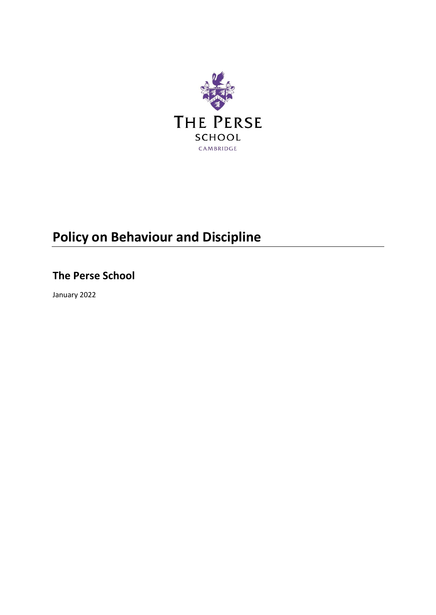

# **Policy on Behaviour and Discipline**

# **The Perse School**

January 2022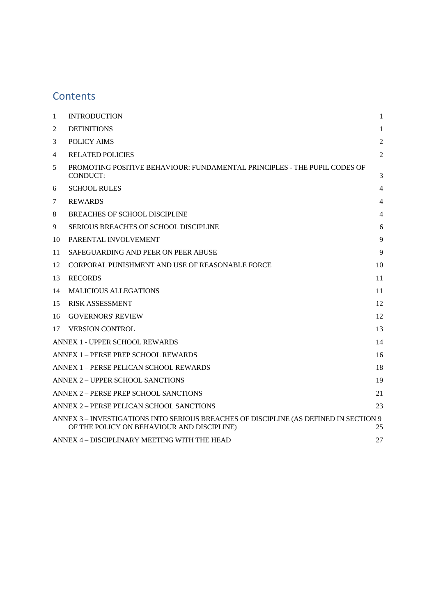# **Contents**

<span id="page-1-0"></span>

| 1  | <b>INTRODUCTION</b>                                                                                                                 | $\mathbf{1}$   |
|----|-------------------------------------------------------------------------------------------------------------------------------------|----------------|
| 2  | <b>DEFINITIONS</b>                                                                                                                  | $\mathbf{1}$   |
| 3  | <b>POLICY AIMS</b>                                                                                                                  | $\overline{2}$ |
| 4  | <b>RELATED POLICIES</b>                                                                                                             | $\overline{2}$ |
| 5  | PROMOTING POSITIVE BEHAVIOUR: FUNDAMENTAL PRINCIPLES - THE PUPIL CODES OF<br><b>CONDUCT:</b>                                        | 3              |
| 6  | <b>SCHOOL RULES</b>                                                                                                                 | 4              |
| 7  | <b>REWARDS</b>                                                                                                                      | 4              |
| 8  | <b>BREACHES OF SCHOOL DISCIPLINE</b>                                                                                                | 4              |
| 9  | SERIOUS BREACHES OF SCHOOL DISCIPLINE                                                                                               | 6              |
| 10 | PARENTAL INVOLVEMENT                                                                                                                | $\mathbf{Q}$   |
| 11 | SAFEGUARDING AND PEER ON PEER ABUSE                                                                                                 | 9              |
| 12 | CORPORAL PUNISHMENT AND USE OF REASONABLE FORCE                                                                                     | 10             |
| 13 | <b>RECORDS</b>                                                                                                                      | 11             |
| 14 | <b>MALICIOUS ALLEGATIONS</b>                                                                                                        | 11             |
| 15 | <b>RISK ASSESSMENT</b>                                                                                                              | 12             |
| 16 | <b>GOVERNORS' REVIEW</b>                                                                                                            | 12             |
| 17 | <b>VERSION CONTROL</b>                                                                                                              | 13             |
|    | ANNEX 1 - UPPER SCHOOL REWARDS                                                                                                      | 14             |
|    | ANNEX 1 - PERSE PREP SCHOOL REWARDS                                                                                                 | 16             |
|    | ANNEX 1 – PERSE PELICAN SCHOOL REWARDS                                                                                              | 18             |
|    | ANNEX 2 - UPPER SCHOOL SANCTIONS                                                                                                    | 19             |
|    | ANNEX 2 – PERSE PREP SCHOOL SANCTIONS                                                                                               | 21             |
|    | ANNEX 2 - PERSE PELICAN SCHOOL SANCTIONS                                                                                            | 23             |
|    | ANNEX 3 – INVESTIGATIONS INTO SERIOUS BREACHES OF DISCIPLINE (AS DEFINED IN SECTION 9<br>OF THE POLICY ON BEHAVIOUR AND DISCIPLINE) | 25             |
|    | ANNEX 4 - DISCIPLINARY MEETING WITH THE HEAD                                                                                        | 27             |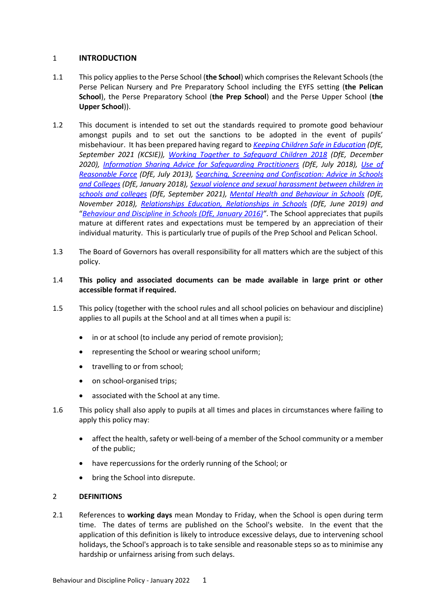# 1 **INTRODUCTION**

- 1.1 This policy applies to the Perse School (**the School**) which comprises the Relevant Schools (the Perse Pelican Nursery and Pre Preparatory School including the EYFS setting (**the Pelican School**), the Perse Preparatory School (**the Prep School**) and the Perse Upper School (**the Upper School**)).
- 1.2 This document is intended to set out the standards required to promote good behaviour amongst pupils and to set out the sanctions to be adopted in the event of pupils' misbehaviour. It has been prepared having regard to *[Keeping Children Safe in Education](https://www.gov.uk/government/publications/keeping-children-safe-in-education--2) (DfE, September 2021 (KCSIE)), [Working Together to Safeguard Children 2018](https://www.gov.uk/government/publications/working-together-to-safeguard-children--2) (DfE, December 2020), [Information Sharing Advice for Safeguarding Practitioners](https://www.gov.uk/government/publications/safeguarding-practitioners-information-sharing-advice) (DfE, July 2018), [Use of](https://www.gov.uk/government/publications/use-of-reasonable-force-in-schools)  [Reasonable Force](https://www.gov.uk/government/publications/use-of-reasonable-force-in-schools) (DfE, July 2013), [Searching, Screening and Confiscation: Advice in Schools](https://www.gov.uk/government/publications/searching-screening-and-confiscation)  [and Colleges](https://www.gov.uk/government/publications/searching-screening-and-confiscation) (DfE, January 2018), [Sexual violence and sexual harassment between children in](https://assets.publishing.service.gov.uk/government/uploads/system/uploads/attachment_data/file/999239/SVSH_2021.pdf)  [schools and colleges](https://assets.publishing.service.gov.uk/government/uploads/system/uploads/attachment_data/file/999239/SVSH_2021.pdf) (DfE, September 2021), [Mental Health and Behaviour in Schools](https://www.gov.uk/government/publications/mental-health-and-behaviour-in-schools--2) (DfE, November 2018), [Relationships Education, Relationships in Schools](https://www.gov.uk/government/publications/relationships-education-relationships-and-sex-education-rse-and-health-education) (DfE, June 2019) and*  "*[Behaviour and Discipline in Schools \(DfE, January 2016\)](https://www.gov.uk/government/publications/behaviour-and-discipline-in-schools)"*. The School appreciates that pupils mature at different rates and expectations must be tempered by an appreciation of their individual maturity. This is particularly true of pupils of the Prep School and Pelican School.
- 1.3 The Board of Governors has overall responsibility for all matters which are the subject of this policy.

# 1.4 **This policy and associated documents can be made available in large print or other accessible format if required.**

- 1.5 This policy (together with the school rules and all school policies on behaviour and discipline) applies to all pupils at the School and at all times when a pupil is:
	- in or at school (to include any period of remote provision);
	- representing the School or wearing school uniform;
	- travelling to or from school;
	- on school-organised trips;
	- associated with the School at any time.
- 1.6 This policy shall also apply to pupils at all times and places in circumstances where failing to apply this policy may:
	- affect the health, safety or well-being of a member of the School community or a member of the public;
	- have repercussions for the orderly running of the School; or
	- bring the School into disrepute.

# <span id="page-2-0"></span>2 **DEFINITIONS**

2.1 References to **working days** mean Monday to Friday, when the School is open during term time. The dates of terms are published on the School's website. In the event that the application of this definition is likely to introduce excessive delays, due to intervening school holidays, the School's approach is to take sensible and reasonable steps so as to minimise any hardship or unfairness arising from such delays.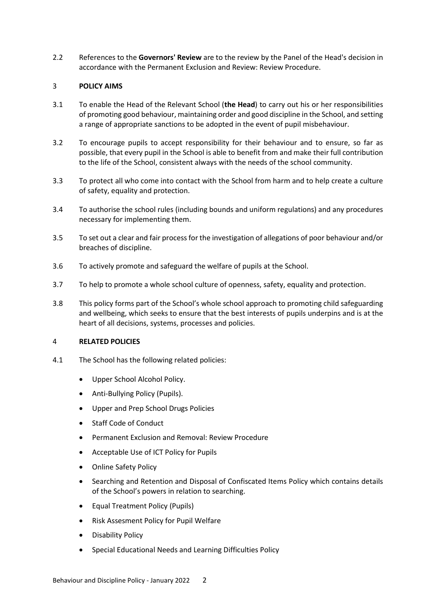2.2 References to the **Governors' Review** are to the review by the Panel of the Head's decision in accordance with the Permanent Exclusion and Review: Review Procedure.

# <span id="page-3-0"></span>3 **POLICY AIMS**

- 3.1 To enable the Head of the Relevant School (**the Head**) to carry out his or her responsibilities of promoting good behaviour, maintaining order and good discipline in the School, and setting a range of appropriate sanctions to be adopted in the event of pupil misbehaviour.
- 3.2 To encourage pupils to accept responsibility for their behaviour and to ensure, so far as possible, that every pupil in the School is able to benefit from and make their full contribution to the life of the School, consistent always with the needs of the school community.
- 3.3 To protect all who come into contact with the School from harm and to help create a culture of safety, equality and protection.
- 3.4 To authorise the school rules (including bounds and uniform regulations) and any procedures necessary for implementing them.
- 3.5 To set out a clear and fair process for the investigation of allegations of poor behaviour and/or breaches of discipline.
- 3.6 To actively promote and safeguard the welfare of pupils at the School.
- 3.7 To help to promote a whole school culture of openness, safety, equality and protection.
- 3.8 This policy forms part of the School's whole school approach to promoting child safeguarding and wellbeing, which seeks to ensure that the best interests of pupils underpins and is at the heart of all decisions, systems, processes and policies.

# <span id="page-3-1"></span>4 **RELATED POLICIES**

- 4.1 The School has the following related policies:
	- Upper School Alcohol Policy.
	- Anti-Bullying Policy (Pupils).
	- Upper and Prep School Drugs Policies
	- Staff Code of Conduct
	- Permanent Exclusion and Removal: Review Procedure
	- Acceptable Use of ICT Policy for Pupils
	- Online Safety Policy
	- Searching and Retention and Disposal of Confiscated Items Policy which contains details of the School's powers in relation to searching.
	- Equal Treatment Policy (Pupils)
	- Risk Assesment Policy for Pupil Welfare
	- Disability Policy
	- Special Educational Needs and Learning Difficulties Policy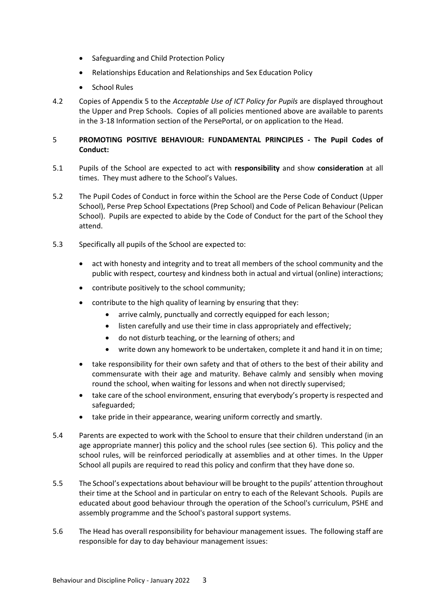- Safeguarding and Child Protection Policy
- Relationships Education and Relationships and Sex Education Policy
- School Rules
- 4.2 Copies of Appendix 5 to the *Acceptable Use of ICT Policy for Pupils* are displayed throughout the Upper and Prep Schools. Copies of all policies mentioned above are available to parents in the 3-18 Information section of the PersePortal, or on application to the Head.

# <span id="page-4-0"></span>5 **PROMOTING POSITIVE BEHAVIOUR: FUNDAMENTAL PRINCIPLES - The Pupil Codes of Conduct:**

- 5.1 Pupils of the School are expected to act with **responsibility** and show **consideration** at all times. They must adhere to the School's Values.
- 5.2 The Pupil Codes of Conduct in force within the School are the Perse Code of Conduct (Upper School), Perse Prep School Expectations (Prep School) and Code of Pelican Behaviour (Pelican School). Pupils are expected to abide by the Code of Conduct for the part of the School they attend.
- 5.3 Specifically all pupils of the School are expected to:
	- act with honesty and integrity and to treat all members of the school community and the public with respect, courtesy and kindness both in actual and virtual (online) interactions;
	- contribute positively to the school community;
	- contribute to the high quality of learning by ensuring that they:
		- arrive calmly, punctually and correctly equipped for each lesson;
		- listen carefully and use their time in class appropriately and effectively;
		- do not disturb teaching, or the learning of others; and
		- write down any homework to be undertaken, complete it and hand it in on time;
	- take responsibility for their own safety and that of others to the best of their ability and commensurate with their age and maturity. Behave calmly and sensibly when moving round the school, when waiting for lessons and when not directly supervised;
	- take care of the school environment, ensuring that everybody's property is respected and safeguarded;
	- take pride in their appearance, wearing uniform correctly and smartly.
- 5.4 Parents are expected to work with the School to ensure that their children understand (in an age appropriate manner) this policy and the school rules (see section [6\)](#page-5-0). This policy and the school rules, will be reinforced periodically at assemblies and at other times. In the Upper School all pupils are required to read this policy and confirm that they have done so.
- 5.5 The School's expectations about behaviour will be brought to the pupils' attention throughout their time at the School and in particular on entry to each of the Relevant Schools. Pupils are educated about good behaviour through the operation of the School's curriculum, PSHE and assembly programme and the School's pastoral support systems.
- 5.6 The Head has overall responsibility for behaviour management issues. The following staff are responsible for day to day behaviour management issues: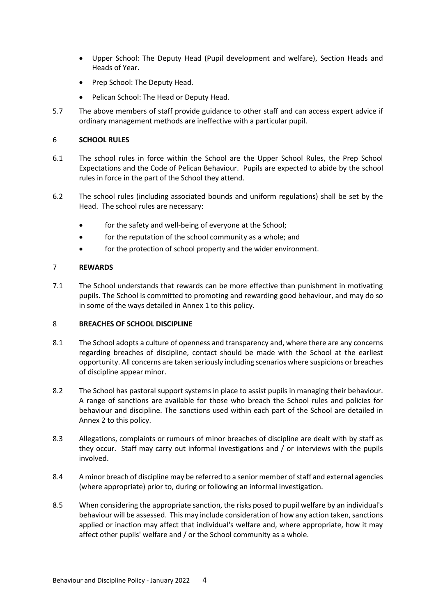- Upper School: The Deputy Head (Pupil development and welfare), Section Heads and Heads of Year.
- Prep School: The Deputy Head.
- Pelican School: The Head or Deputy Head.
- 5.7 The above members of staff provide guidance to other staff and can access expert advice if ordinary management methods are ineffective with a particular pupil.

# <span id="page-5-0"></span>6 **SCHOOL RULES**

- 6.1 The school rules in force within the School are the Upper School Rules, the Prep School Expectations and the Code of Pelican Behaviour. Pupils are expected to abide by the school rules in force in the part of the School they attend.
- 6.2 The school rules (including associated bounds and uniform regulations) shall be set by the Head. The school rules are necessary:
	- for the safety and well-being of everyone at the School;
	- for the reputation of the school community as a whole; and
	- for the protection of school property and the wider environment.

# <span id="page-5-1"></span>7 **REWARDS**

7.1 The School understands that rewards can be more effective than punishment in motivating pupils. The School is committed to promoting and rewarding good behaviour, and may do so in some of the ways detailed in Annex 1 to this policy.

# <span id="page-5-2"></span>8 **BREACHES OF SCHOOL DISCIPLINE**

- 8.1 The School adopts a culture of openness and transparency and, where there are any concerns regarding breaches of discipline, contact should be made with the School at the earliest opportunity. All concerns are taken seriously including scenarios where suspicions or breaches of discipline appear minor.
- 8.2 The School has pastoral support systems in place to assist pupils in managing their behaviour. A range of sanctions are available for those who breach the School rules and policies for behaviour and discipline. The sanctions used within each part of the School are detailed in Annex 2 to this policy.
- 8.3 Allegations, complaints or rumours of minor breaches of discipline are dealt with by staff as they occur. Staff may carry out informal investigations and / or interviews with the pupils involved.
- 8.4 A minor breach of discipline may be referred to a senior member of staff and external agencies (where appropriate) prior to, during or following an informal investigation.
- 8.5 When considering the appropriate sanction, the risks posed to pupil welfare by an individual's behaviour will be assessed. This may include consideration of how any action taken, sanctions applied or inaction may affect that individual's welfare and, where appropriate, how it may affect other pupils' welfare and / or the School community as a whole.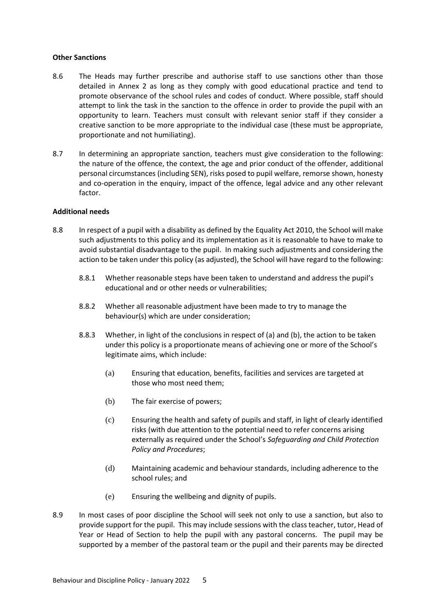#### **Other Sanctions**

- 8.6 The Heads may further prescribe and authorise staff to use sanctions other than those detailed in Annex 2 as long as they comply with good educational practice and tend to promote observance of the school rules and codes of conduct. Where possible, staff should attempt to link the task in the sanction to the offence in order to provide the pupil with an opportunity to learn. Teachers must consult with relevant senior staff if they consider a creative sanction to be more appropriate to the individual case (these must be appropriate, proportionate and not humiliating).
- 8.7 In determining an appropriate sanction, teachers must give consideration to the following: the nature of the offence, the context, the age and prior conduct of the offender, additional personal circumstances (including SEN), risks posed to pupil welfare, remorse shown, honesty and co-operation in the enquiry, impact of the offence, legal advice and any other relevant factor.

# **Additional needs**

- 8.8 In respect of a pupil with a disability as defined by the Equality Act 2010, the School will make such adjustments to this policy and its implementation as it is reasonable to have to make to avoid substantial disadvantage to the pupil. In making such adjustments and considering the action to be taken under this policy (as adjusted), the School will have regard to the following:
	- 8.8.1 Whether reasonable steps have been taken to understand and address the pupil's educational and or other needs or vulnerabilities;
	- 8.8.2 Whether all reasonable adjustment have been made to try to manage the behaviour(s) which are under consideration;
	- 8.8.3 Whether, in light of the conclusions in respect of (a) and (b), the action to be taken under this policy is a proportionate means of achieving one or more of the School's legitimate aims, which include:
		- (a) Ensuring that education, benefits, facilities and services are targeted at those who most need them;
		- (b) The fair exercise of powers;
		- (c) Ensuring the health and safety of pupils and staff, in light of clearly identified risks (with due attention to the potential need to refer concerns arising externally as required under the School's *Safeguarding and Child Protection Policy and Procedures*;
		- (d) Maintaining academic and behaviour standards, including adherence to the school rules; and
		- (e) Ensuring the wellbeing and dignity of pupils.
- 8.9 In most cases of poor discipline the School will seek not only to use a sanction, but also to provide support for the pupil. This may include sessions with the class teacher, tutor, Head of Year or Head of Section to help the pupil with any pastoral concerns. The pupil may be supported by a member of the pastoral team or the pupil and their parents may be directed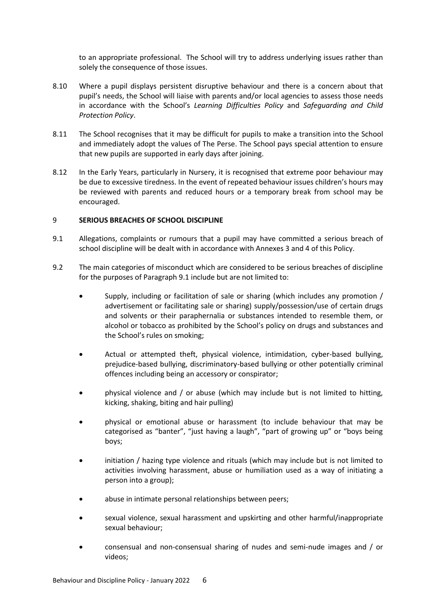to an appropriate professional. The School will try to address underlying issues rather than solely the consequence of those issues.

- 8.10 Where a pupil displays persistent disruptive behaviour and there is a concern about that pupil's needs, the School will liaise with parents and/or local agencies to assess those needs in accordance with the School's *Learning Difficulties Policy* and *Safeguarding and Child Protection Policy*.
- 8.11 The School recognises that it may be difficult for pupils to make a transition into the School and immediately adopt the values of The Perse. The School pays special attention to ensure that new pupils are supported in early days after joining.
- 8.12 In the Early Years, particularly in Nursery, it is recognised that extreme poor behaviour may be due to excessive tiredness. In the event of repeated behaviour issues children's hours may be reviewed with parents and reduced hours or a temporary break from school may be encouraged.

#### <span id="page-7-0"></span>9 **SERIOUS BREACHES OF SCHOOL DISCIPLINE**

- <span id="page-7-1"></span>9.1 Allegations, complaints or rumours that a pupil may have committed a serious breach of school discipline will be dealt with in accordance with Annexes 3 and 4 of this Policy.
- 9.2 The main categories of misconduct which are considered to be serious breaches of discipline for the purposes of Paragraph [9.1](#page-7-1) include but are not limited to:
	- Supply, including or facilitation of sale or sharing (which includes any promotion / advertisement or facilitating sale or sharing) supply/possession/use of certain drugs and solvents or their paraphernalia or substances intended to resemble them, or alcohol or tobacco as prohibited by the School's policy on drugs and substances and the School's rules on smoking;
	- Actual or attempted theft, physical violence, intimidation, cyber-based bullying, prejudice-based bullying, discriminatory-based bullying or other potentially criminal offences including being an accessory or conspirator;
	- physical violence and / or abuse (which may include but is not limited to hitting, kicking, shaking, biting and hair pulling)
	- physical or emotional abuse or harassment (to include behaviour that may be categorised as "banter", "just having a laugh", "part of growing up" or "boys being boys;
	- initiation / hazing type violence and rituals (which may include but is not limited to activities involving harassment, abuse or humiliation used as a way of initiating a person into a group);
	- abuse in intimate personal relationships between peers;
	- sexual violence, sexual harassment and upskirting and other harmful/inappropriate sexual behaviour;
	- consensual and non-consensual sharing of nudes and semi-nude images and / or videos;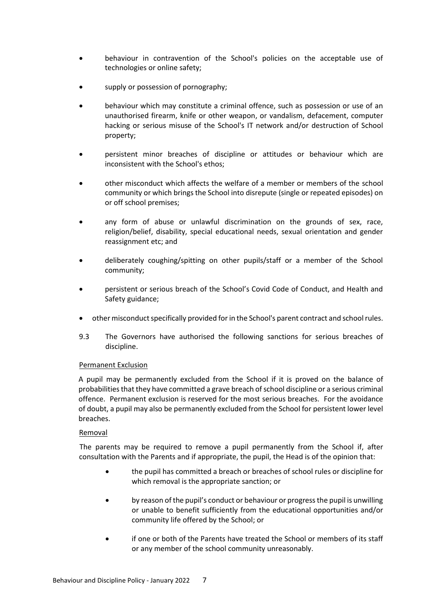- behaviour in contravention of the School's policies on the acceptable use of technologies or online safety;
- supply or possession of pornography;
- behaviour which may constitute a criminal offence, such as possession or use of an unauthorised firearm, knife or other weapon, or vandalism, defacement, computer hacking or serious misuse of the School's IT network and/or destruction of School property;
- persistent minor breaches of discipline or attitudes or behaviour which are inconsistent with the School's ethos;
- other misconduct which affects the welfare of a member or members of the school community or which brings the School into disrepute (single or repeated episodes) on or off school premises;
- any form of abuse or unlawful discrimination on the grounds of sex, race, religion/belief, disability, special educational needs, sexual orientation and gender reassignment etc; and
- deliberately coughing/spitting on other pupils/staff or a member of the School community;
- persistent or serious breach of the School's Covid Code of Conduct, and Health and Safety guidance;
- other misconduct specifically provided for in the School's parent contract and school rules.
- 9.3 The Governors have authorised the following sanctions for serious breaches of discipline.

# Permanent Exclusion

A pupil may be permanently excluded from the School if it is proved on the balance of probabilities that they have committed a grave breach of school discipline or a serious criminal offence. Permanent exclusion is reserved for the most serious breaches. For the avoidance of doubt, a pupil may also be permanently excluded from the School for persistent lower level breaches.

# **Removal**

The parents may be required to remove a pupil permanently from the School if, after consultation with the Parents and if appropriate, the pupil, the Head is of the opinion that:

- the pupil has committed a breach or breaches of school rules or discipline for which removal is the appropriate sanction; or
- by reason of the pupil's conduct or behaviour or progress the pupil is unwilling or unable to benefit sufficiently from the educational opportunities and/or community life offered by the School; or
- if one or both of the Parents have treated the School or members of its staff or any member of the school community unreasonably.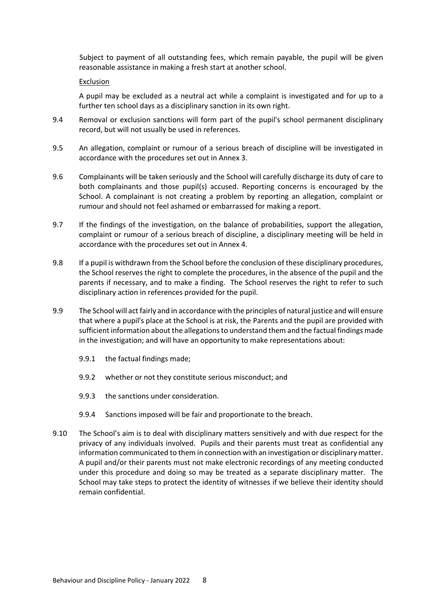Subject to payment of all outstanding fees, which remain payable, the pupil will be given reasonable assistance in making a fresh start at another school.

# Exclusion

A pupil may be excluded as a neutral act while a complaint is investigated and for up to a further ten school days as a disciplinary sanction in its own right.

- 9.4 Removal or exclusion sanctions will form part of the pupil's school permanent disciplinary record, but will not usually be used in references.
- 9.5 An allegation, complaint or rumour of a serious breach of discipline will be investigated in accordance with the procedures set out in Annex 3.
- 9.6 Complainants will be taken seriously and the School will carefully discharge its duty of care to both complainants and those pupil(s) accused. Reporting concerns is encouraged by the School. A complainant is not creating a problem by reporting an allegation, complaint or rumour and should not feel ashamed or embarrassed for making a report.
- 9.7 If the findings of the investigation, on the balance of probabilities, support the allegation, complaint or rumour of a serious breach of discipline, a disciplinary meeting will be held in accordance with the procedures set out in Annex 4.
- 9.8 If a pupil is withdrawn from the School before the conclusion of these disciplinary procedures, the School reserves the right to complete the procedures, in the absence of the pupil and the parents if necessary, and to make a finding. The School reserves the right to refer to such disciplinary action in references provided for the pupil.
- 9.9 The School will act fairly and in accordance with the principles of natural justice and will ensure that where a pupil's place at the School is at risk, the Parents and the pupil are provided with sufficient information about the allegations to understand them and the factual findings made in the investigation; and will have an opportunity to make representations about:
	- 9.9.1 the factual findings made;
	- 9.9.2 whether or not they constitute serious misconduct; and
	- 9.9.3 the sanctions under consideration.
	- 9.9.4 Sanctions imposed will be fair and proportionate to the breach.
- <span id="page-9-0"></span>9.10 The School's aim is to deal with disciplinary matters sensitively and with due respect for the privacy of any individuals involved. Pupils and their parents must treat as confidential any information communicated to them in connection with an investigation or disciplinary matter. A pupil and/or their parents must not make electronic recordings of any meeting conducted under this procedure and doing so may be treated as a separate disciplinary matter. The School may take steps to protect the identity of witnesses if we believe their identity should remain confidential.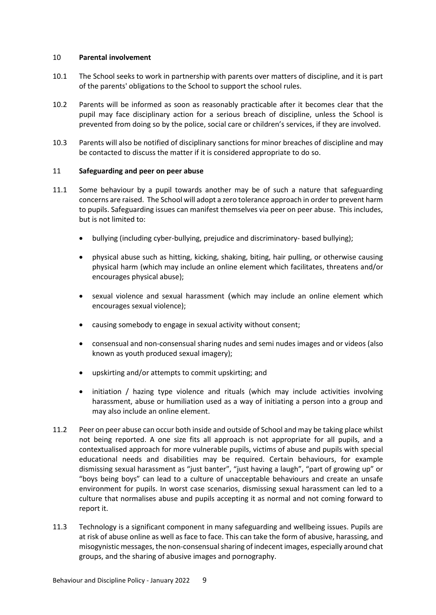#### 10 **Parental involvement**

- 10.1 The School seeks to work in partnership with parents over matters of discipline, and it is part of the parents' obligations to the School to support the school rules.
- 10.2 Parents will be informed as soon as reasonably practicable after it becomes clear that the pupil may face disciplinary action for a serious breach of discipline, unless the School is prevented from doing so by the police, social care or children's services, if they are involved.
- 10.3 Parents will also be notified of disciplinary sanctions for minor breaches of discipline and may be contacted to discuss the matter if it is considered appropriate to do so.

# <span id="page-10-0"></span>11 **Safeguarding and peer on peer abuse**

- 11.1 Some behaviour by a pupil towards another may be of such a nature that safeguarding concerns are raised. The School will adopt a zero tolerance approach in order to prevent harm to pupils. Safeguarding issues can manifest themselves via peer on peer abuse. This includes, but is not limited to:
	- bullying (including cyber-bullying, prejudice and discriminatory- based bullying);
	- physical abuse such as hitting, kicking, shaking, biting, hair pulling, or otherwise causing physical harm (which may include an online element which facilitates, threatens and/or encourages physical abuse);
	- sexual violence and sexual harassment (which may include an online element which encourages sexual violence);
	- causing somebody to engage in sexual activity without consent;
	- consensual and non-consensual sharing nudes and semi nudes images and or videos (also known as youth produced sexual imagery);
	- upskirting and/or attempts to commit upskirting; and
	- initiation / hazing type violence and rituals (which may include activities involving harassment, abuse or humiliation used as a way of initiating a person into a group and may also include an online element.
- 11.2 Peer on peer abuse can occur both inside and outside of School and may be taking place whilst not being reported. A one size fits all approach is not appropriate for all pupils, and a contextualised approach for more vulnerable pupils, victims of abuse and pupils with special educational needs and disabilities may be required. Certain behaviours, for example dismissing sexual harassment as "just banter", "just having a laugh", "part of growing up" or "boys being boys" can lead to a culture of unacceptable behaviours and create an unsafe environment for pupils. In worst case scenarios, dismissing sexual harassment can led to a culture that normalises abuse and pupils accepting it as normal and not coming forward to report it.
- 11.3 Technology is a significant component in many safeguarding and wellbeing issues. Pupils are at risk of abuse online as well as face to face. This can take the form of abusive, harassing, and misogynistic messages, the non-consensual sharing of indecent images, especially around chat groups, and the sharing of abusive images and pornography.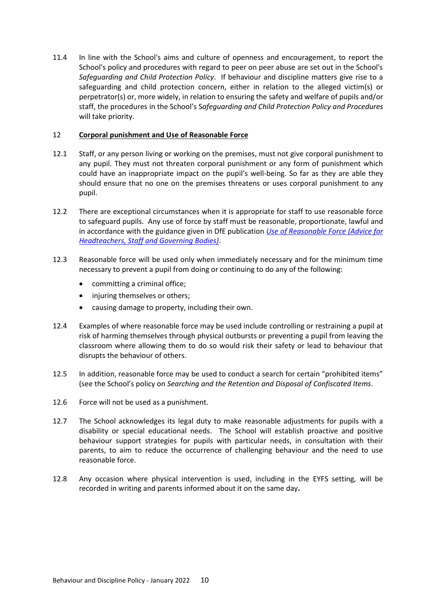11.4 In line with the School's aims and culture of openness and encouragement, to report the School's policy and procedures with regard to peer on peer abuse are set out in the School's *Safeguarding and Child Protection Policy*. If behaviour and discipline matters give rise to a safeguarding and child protection concern, either in relation to the alleged victim(s) or perpetrator(s) or, more widely, in relation to ensuring the safety and welfare of pupils and/or staff, the procedures in the School's S*afeguarding and Child Protection Policy and Procedures* will take priority.

# <span id="page-11-0"></span>12 **Corporal punishment and Use of Reasonable Force**

- 12.1 Staff, or any person living or working on the premises, must not give corporal punishment to any pupil. They must not threaten corporal punishment or any form of punishment which could have an inappropriate impact on the pupil's well-being. So far as they are able they should ensure that no one on the premises threatens or uses corporal punishment to any pupil.
- 12.2 There are exceptional circumstances when it is appropriate for staff to use reasonable force to safeguard pupils. Any use of force by staff must be reasonable, proportionate, lawful and in accordance with the guidance given in DfE publication *[Use of Reasonable](https://www.gov.uk/government/publications/use-of-reasonable-force-in-schools) Force (Advice for [Headteachers, Staff and Governing Bodies\)](https://www.gov.uk/government/publications/use-of-reasonable-force-in-schools)*.
- 12.3 Reasonable force will be used only when immediately necessary and for the minimum time necessary to prevent a pupil from doing or continuing to do any of the following:
	- committing a criminal office;
	- injuring themselves or others;
	- causing damage to property, including their own.
- 12.4 Examples of where reasonable force may be used include controlling or restraining a pupil at risk of harming themselves through physical outbursts or preventing a pupil from leaving the classroom where allowing them to do so would risk their safety or lead to behaviour that disrupts the behaviour of others.
- 12.5 In addition, reasonable force may be used to conduct a search for certain "prohibited items" (see the School's policy on *Searching and the Retention and Disposal of Confiscated Items*.
- 12.6 Force will not be used as a punishment.
- 12.7 The School acknowledges its legal duty to make reasonable adjustments for pupils with a disability or special educational needs. The School will establish proactive and positive behaviour support strategies for pupils with particular needs, in consultation with their parents, to aim to reduce the occurrence of challenging behaviour and the need to use reasonable force.
- <span id="page-11-1"></span>12.8 Any occasion where physical intervention is used, including in the EYFS setting, will be recorded in writing and parents informed about it on the same day**.**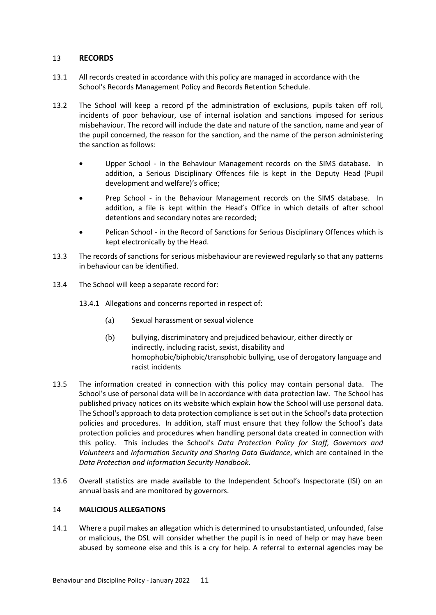# 13 **RECORDS**

- 13.1 All records created in accordance with this policy are managed in accordance with the School's Records Management Policy and Records Retention Schedule.
- 13.2 The School will keep a record pf the administration of exclusions, pupils taken off roll, incidents of poor behaviour, use of internal isolation and sanctions imposed for serious misbehaviour. The record will include the date and nature of the sanction, name and year of the pupil concerned, the reason for the sanction, and the name of the person administering the sanction as follows:
	- Upper School in the Behaviour Management records on the SIMS database. In addition, a Serious Disciplinary Offences file is kept in the Deputy Head (Pupil development and welfare)'s office;
	- Prep School in the Behaviour Management records on the SIMS database. In addition, a file is kept within the Head's Office in which details of after school detentions and secondary notes are recorded;
	- Pelican School in the Record of Sanctions for Serious Disciplinary Offences which is kept electronically by the Head.
- 13.3 The records of sanctions for serious misbehaviour are reviewed regularly so that any patterns in behaviour can be identified.
- 13.4 The School will keep a separate record for:
	- 13.4.1 Allegations and concerns reported in respect of:
		- (a) Sexual harassment or sexual violence
		- (b) bullying, discriminatory and prejudiced behaviour, either directly or indirectly, including racist, sexist, disability and homophobic/biphobic/transphobic bullying, use of derogatory language and racist incidents
- 13.5 The information created in connection with this policy may contain personal data. The School's use of personal data will be in accordance with data protection law. The School has published privacy notices on its website which explain how the School will use personal data. The School's approach to data protection compliance is set out in the School's data protection policies and procedures. In addition, staff must ensure that they follow the School's data protection policies and procedures when handling personal data created in connection with this policy. This includes the School's *Data Protection Policy for Staff, Governors and Volunteers* and *Information Security and Sharing Data Guidance*, which are contained in the *Data Protection and Information Security Handbook*.
- 13.6 Overall statistics are made available to the Independent School's Inspectorate (ISI) on an annual basis and are monitored by governors.

# <span id="page-12-0"></span>14 **MALICIOUS ALLEGATIONS**

14.1 Where a pupil makes an allegation which is determined to unsubstantiated, unfounded, false or malicious, the DSL will consider whether the pupil is in need of help or may have been abused by someone else and this is a cry for help. A referral to external agencies may be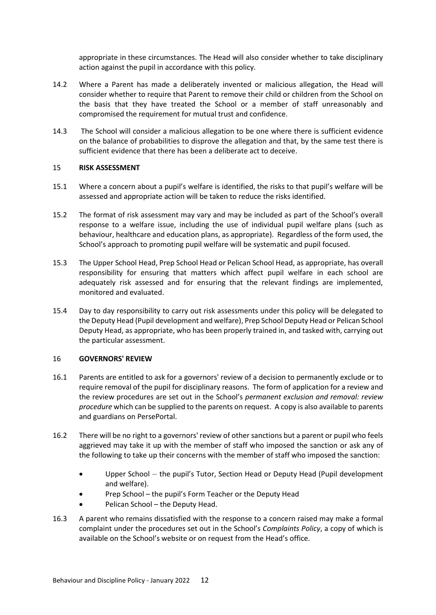appropriate in these circumstances. The Head will also consider whether to take disciplinary action against the pupil in accordance with this policy.

- 14.2 Where a Parent has made a deliberately invented or malicious allegation, the Head will consider whether to require that Parent to remove their child or children from the School on the basis that they have treated the School or a member of staff unreasonably and compromised the requirement for mutual trust and confidence.
- 14.3 The School will consider a malicious allegation to be one where there is sufficient evidence on the balance of probabilities to disprove the allegation and that, by the same test there is sufficient evidence that there has been a deliberate act to deceive.

# <span id="page-13-0"></span>15 **RISK ASSESSMENT**

- 15.1 Where a concern about a pupil's welfare is identified, the risks to that pupil's welfare will be assessed and appropriate action will be taken to reduce the risks identified.
- 15.2 The format of risk assessment may vary and may be included as part of the School's overall response to a welfare issue, including the use of individual pupil welfare plans (such as behaviour, healthcare and education plans, as appropriate). Regardless of the form used, the School's approach to promoting pupil welfare will be systematic and pupil focused.
- 15.3 The Upper School Head, Prep School Head or Pelican School Head, as appropriate, has overall responsibility for ensuring that matters which affect pupil welfare in each school are adequately risk assessed and for ensuring that the relevant findings are implemented, monitored and evaluated.
- 15.4 Day to day responsibility to carry out risk assessments under this policy will be delegated to the Deputy Head (Pupil development and welfare), Prep School Deputy Head or Pelican School Deputy Head, as appropriate, who has been properly trained in, and tasked with, carrying out the particular assessment.

# <span id="page-13-1"></span>16 **GOVERNORS' REVIEW**

- 16.1 Parents are entitled to ask for a governors' review of a decision to permanently exclude or to require removal of the pupil for disciplinary reasons. The form of application for a review and the review procedures are set out in the School's *permanent exclusion and removal: review procedure* which can be supplied to the parents on request. A copy is also available to parents and guardians on PersePortal.
- 16.2 There will be no right to a governors' review of other sanctions but a parent or pupil who feels aggrieved may take it up with the member of staff who imposed the sanction or ask any of the following to take up their concerns with the member of staff who imposed the sanction:
	- Upper School the pupil's Tutor, Section Head or Deputy Head (Pupil development and welfare).
	- Prep School the pupil's Form Teacher or the Deputy Head
	- Pelican School the Deputy Head.
- <span id="page-13-2"></span>16.3 A parent who remains dissatisfied with the response to a concern raised may make a formal complaint under the procedures set out in the School's *Complaints Policy*, a copy of which is available on the School's website or on request from the Head's office.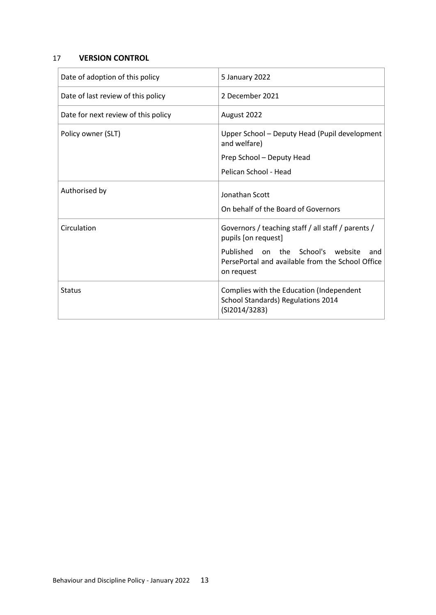# 17 **VERSION CONTROL**

| Date of adoption of this policy     | 5 January 2022                                                                                             |
|-------------------------------------|------------------------------------------------------------------------------------------------------------|
| Date of last review of this policy  | 2 December 2021                                                                                            |
| Date for next review of this policy | August 2022                                                                                                |
| Policy owner (SLT)                  | Upper School - Deputy Head (Pupil development<br>and welfare)                                              |
|                                     | Prep School - Deputy Head                                                                                  |
|                                     | Pelican School - Head                                                                                      |
| Authorised by                       | Jonathan Scott                                                                                             |
|                                     | On behalf of the Board of Governors                                                                        |
| Circulation                         | Governors / teaching staff / all staff / parents /<br>pupils [on request]                                  |
|                                     | Published on the School's website<br>and<br>PersePortal and available from the School Office<br>on request |
| <b>Status</b>                       | Complies with the Education (Independent<br>School Standards) Regulations 2014<br>(SI2014/3283)            |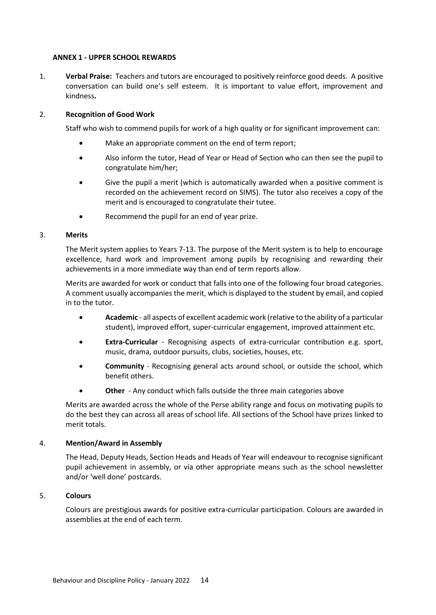#### <span id="page-15-0"></span>**ANNEX 1 - UPPER SCHOOL REWARDS**

1. **Verbal Praise:** Teachers and tutors are encouraged to positively reinforce good deeds. A positive conversation can build one's self esteem. It is important to value effort, improvement and kindness**.**

# 2. **Recognition of Good Work**

Staff who wish to commend pupils for work of a high quality or for significant improvement can:

- Make an appropriate comment on the end of term report;
- Also inform the tutor, Head of Year or Head of Section who can then see the pupil to congratulate him/her;
- Give the pupil a merit (which is automatically awarded when a positive comment is recorded on the achievement record on SIMS). The tutor also receives a copy of the merit and is encouraged to congratulate their tutee.
- Recommend the pupil for an end of year prize.

# 3. **Merits**

The Merit system applies to Years 7-13. The purpose of the Merit system is to help to encourage excellence, hard work and improvement among pupils by recognising and rewarding their achievements in a more immediate way than end of term reports allow.

Merits are awarded for work or conduct that falls into one of the following four broad categories. A comment usually accompanies the merit, which is displayed to the student by email, and copied in to the tutor.

- **Academic** all aspects of excellent academic work (relative to the ability of a particular student), improved effort, super-curricular engagement, improved attainment etc.
- **Extra-Curricular** Recognising aspects of extra-curricular contribution e.g. sport, music, drama, outdoor pursuits, clubs, societies, houses, etc.
- **Community** Recognising general acts around school, or outside the school, which benefit others.
- **Other** Any conduct which falls outside the three main categories above

Merits are awarded across the whole of the Perse ability range and focus on motivating pupils to do the best they can across all areas of school life. All sections of the School have prizes linked to merit totals.

# 4. **Mention/Award in Assembly**

The Head, Deputy Heads, Section Heads and Heads of Year will endeavour to recognise significant pupil achievement in assembly, or via other appropriate means such as the school newsletter and/or 'well done' postcards.

# 5. **Colours**

Colours are prestigious awards for positive extra-curricular participation. Colours are awarded in assemblies at the end of each term.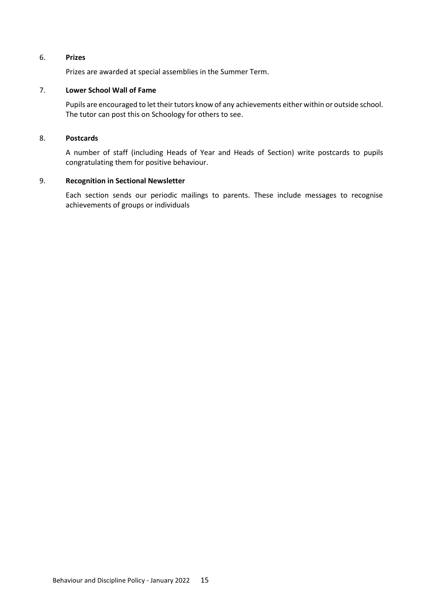# 6. **Prizes**

Prizes are awarded at special assemblies in the Summer Term.

#### 7. **Lower School Wall of Fame**

Pupils are encouraged to let their tutors know of any achievements either within or outside school. The tutor can post this on Schoology for others to see.

#### 8. **Postcards**

A number of staff (including Heads of Year and Heads of Section) write postcards to pupils congratulating them for positive behaviour.

#### 9. **Recognition in Sectional Newsletter**

Each section sends our periodic mailings to parents. These include messages to recognise achievements of groups or individuals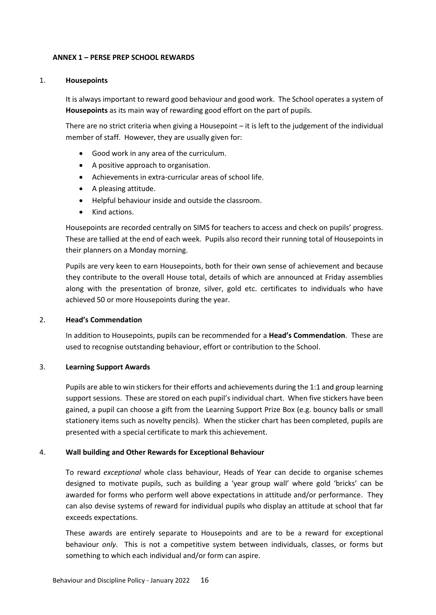#### <span id="page-17-0"></span>**ANNEX 1 – PERSE PREP SCHOOL REWARDS**

#### 1. **Housepoints**

It is always important to reward good behaviour and good work. The School operates a system of **Housepoints** as its main way of rewarding good effort on the part of pupils.

There are no strict criteria when giving a Housepoint – it is left to the judgement of the individual member of staff. However, they are usually given for:

- Good work in any area of the curriculum.
- A positive approach to organisation.
- Achievements in extra-curricular areas of school life.
- A pleasing attitude.
- Helpful behaviour inside and outside the classroom.
- Kind actions.

Housepoints are recorded centrally on SIMS for teachers to access and check on pupils' progress. These are tallied at the end of each week. Pupils also record their running total of Housepoints in their planners on a Monday morning.

Pupils are very keen to earn Housepoints, both for their own sense of achievement and because they contribute to the overall House total, details of which are announced at Friday assemblies along with the presentation of bronze, silver, gold etc. certificates to individuals who have achieved 50 or more Housepoints during the year.

# 2. **Head's Commendation**

In addition to Housepoints, pupils can be recommended for a **Head's Commendation**. These are used to recognise outstanding behaviour, effort or contribution to the School.

# 3. **Learning Support Awards**

Pupils are able to win stickers for their efforts and achievements during the 1:1 and group learning support sessions. These are stored on each pupil's individual chart. When five stickers have been gained, a pupil can choose a gift from the Learning Support Prize Box (e.g. bouncy balls or small stationery items such as novelty pencils). When the sticker chart has been completed, pupils are presented with a special certificate to mark this achievement.

# 4. **Wall building and Other Rewards for Exceptional Behaviour**

To reward *exceptional* whole class behaviour, Heads of Year can decide to organise schemes designed to motivate pupils, such as building a 'year group wall' where gold 'bricks' can be awarded for forms who perform well above expectations in attitude and/or performance. They can also devise systems of reward for individual pupils who display an attitude at school that far exceeds expectations.

These awards are entirely separate to Housepoints and are to be a reward for exceptional behaviour *only*. This is not a competitive system between individuals, classes, or forms but something to which each individual and/or form can aspire.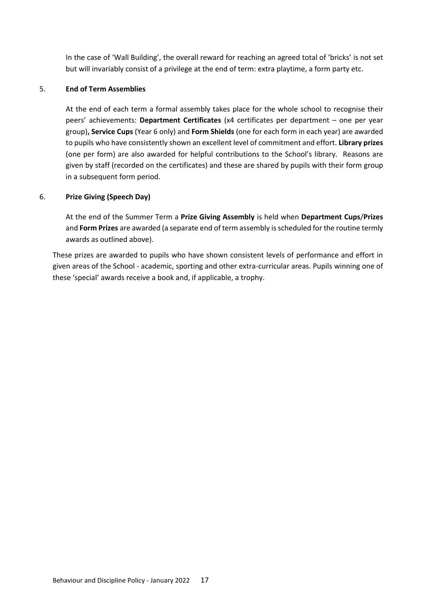In the case of 'Wall Building', the overall reward for reaching an agreed total of 'bricks' is not set but will invariably consist of a privilege at the end of term: extra playtime, a form party etc.

# 5. **End of Term Assemblies**

At the end of each term a formal assembly takes place for the whole school to recognise their peers' achievements: **Department Certificates** (x4 certificates per department – one per year group)**, Service Cups** (Year 6 only) and **Form Shields** (one for each form in each year) are awarded to pupils who have consistently shown an excellent level of commitment and effort. **Library prizes** (one per form) are also awarded for helpful contributions to the School's library. Reasons are given by staff (recorded on the certificates) and these are shared by pupils with their form group in a subsequent form period.

# 6. **Prize Giving (Speech Day)**

At the end of the Summer Term a **Prize Giving Assembly** is held when **Department Cups**/**Prizes** and **Form Prizes** are awarded (a separate end of term assembly is scheduled for the routine termly awards as outlined above).

These prizes are awarded to pupils who have shown consistent levels of performance and effort in given areas of the School - academic, sporting and other extra-curricular areas. Pupils winning one of these 'special' awards receive a book and, if applicable, a trophy.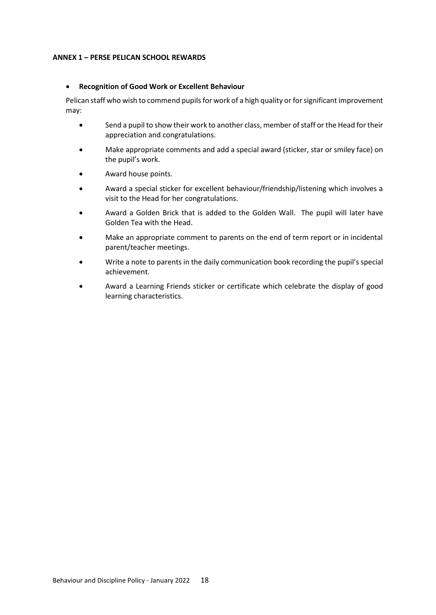#### <span id="page-19-0"></span>**ANNEX 1 – PERSE PELICAN SCHOOL REWARDS**

#### • **Recognition of Good Work or Excellent Behaviour**

Pelican staff who wish to commend pupils for work of a high quality or for significant improvement may:

- Send a pupil to show their work to another class, member of staff or the Head for their appreciation and congratulations.
- Make appropriate comments and add a special award (sticker, star or smiley face) on the pupil's work.
- Award house points.
- Award a special sticker for excellent behaviour/friendship/listening which involves a visit to the Head for her congratulations.
- Award a Golden Brick that is added to the Golden Wall. The pupil will later have Golden Tea with the Head.
- Make an appropriate comment to parents on the end of term report or in incidental parent/teacher meetings.
- Write a note to parents in the daily communication book recording the pupil's special achievement.
- Award a Learning Friends sticker or certificate which celebrate the display of good learning characteristics.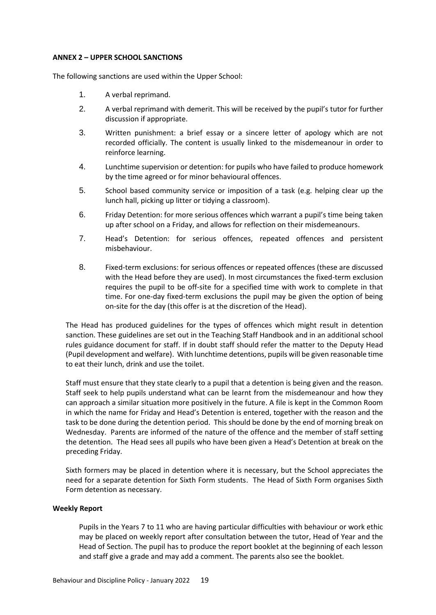#### <span id="page-20-0"></span>**ANNEX 2 – UPPER SCHOOL SANCTIONS**

The following sanctions are used within the Upper School:

- 1. A verbal reprimand.
- 2. A verbal reprimand with demerit. This will be received by the pupil's tutor for further discussion if appropriate.
- 3. Written punishment: a brief essay or a sincere letter of apology which are not recorded officially. The content is usually linked to the misdemeanour in order to reinforce learning.
- 4. Lunchtime supervision or detention: for pupils who have failed to produce homework by the time agreed or for minor behavioural offences.
- 5. School based community service or imposition of a task (e.g. helping clear up the lunch hall, picking up litter or tidying a classroom).
- 6. Friday Detention: for more serious offences which warrant a pupil's time being taken up after school on a Friday, and allows for reflection on their misdemeanours.
- 7. Head's Detention: for serious offences, repeated offences and persistent misbehaviour.
- 8. Fixed-term exclusions: for serious offences or repeated offences (these are discussed with the Head before they are used). In most circumstances the fixed-term exclusion requires the pupil to be off-site for a specified time with work to complete in that time. For one-day fixed-term exclusions the pupil may be given the option of being on-site for the day (this offer is at the discretion of the Head).

The Head has produced guidelines for the types of offences which might result in detention sanction. These guidelines are set out in the Teaching Staff Handbook and in an additional school rules guidance document for staff. If in doubt staff should refer the matter to the Deputy Head (Pupil development and welfare). With lunchtime detentions, pupils will be given reasonable time to eat their lunch, drink and use the toilet.

Staff must ensure that they state clearly to a pupil that a detention is being given and the reason. Staff seek to help pupils understand what can be learnt from the misdemeanour and how they can approach a similar situation more positively in the future. A file is kept in the Common Room in which the name for Friday and Head's Detention is entered, together with the reason and the task to be done during the detention period. This should be done by the end of morning break on Wednesday. Parents are informed of the nature of the offence and the member of staff setting the detention. The Head sees all pupils who have been given a Head's Detention at break on the preceding Friday.

Sixth formers may be placed in detention where it is necessary, but the School appreciates the need for a separate detention for Sixth Form students. The Head of Sixth Form organises Sixth Form detention as necessary.

#### **Weekly Report**

Pupils in the Years 7 to 11 who are having particular difficulties with behaviour or work ethic may be placed on weekly report after consultation between the tutor, Head of Year and the Head of Section. The pupil has to produce the report booklet at the beginning of each lesson and staff give a grade and may add a comment. The parents also see the booklet.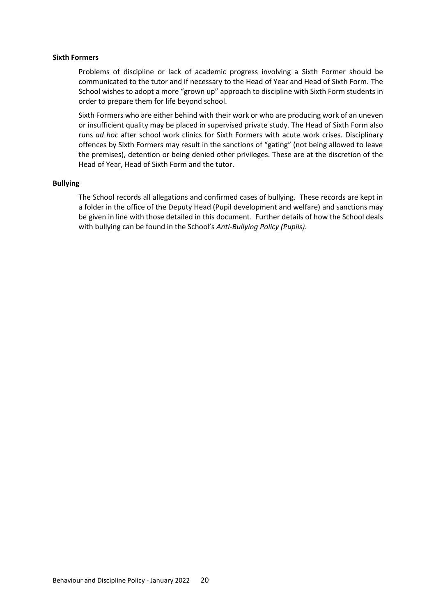#### **Sixth Formers**

Problems of discipline or lack of academic progress involving a Sixth Former should be communicated to the tutor and if necessary to the Head of Year and Head of Sixth Form. The School wishes to adopt a more "grown up" approach to discipline with Sixth Form students in order to prepare them for life beyond school.

Sixth Formers who are either behind with their work or who are producing work of an uneven or insufficient quality may be placed in supervised private study. The Head of Sixth Form also runs *ad hoc* after school work clinics for Sixth Formers with acute work crises. Disciplinary offences by Sixth Formers may result in the sanctions of "gating" (not being allowed to leave the premises), detention or being denied other privileges. These are at the discretion of the Head of Year, Head of Sixth Form and the tutor.

#### **Bullying**

The School records all allegations and confirmed cases of bullying. These records are kept in a folder in the office of the Deputy Head (Pupil development and welfare) and sanctions may be given in line with those detailed in this document. Further details of how the School deals with bullying can be found in the School's *Anti-Bullying Policy (Pupils)*.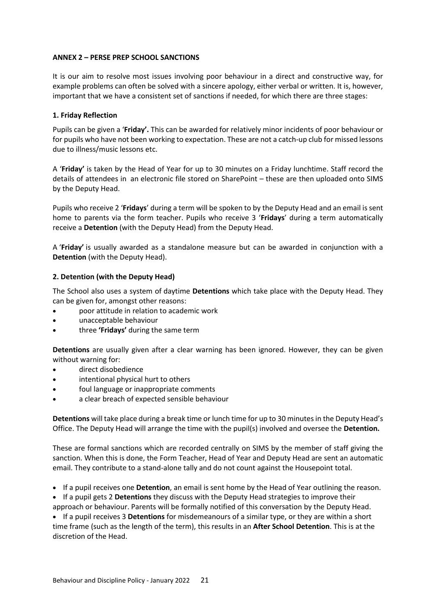# <span id="page-22-0"></span>**ANNEX 2 – PERSE PREP SCHOOL SANCTIONS**

It is our aim to resolve most issues involving poor behaviour in a direct and constructive way, for example problems can often be solved with a sincere apology, either verbal or written. It is, however, important that we have a consistent set of sanctions if needed, for which there are three stages:

# **1. Friday Reflection**

Pupils can be given a '**Friday'.** This can be awarded for relatively minor incidents of poor behaviour or for pupils who have not been working to expectation. These are not a catch-up club for missed lessons due to illness/music lessons etc.

A '**Friday'** is taken by the Head of Year for up to 30 minutes on a Friday lunchtime. Staff record the details of attendees in an electronic file stored on SharePoint – these are then uploaded onto SIMS by the Deputy Head.

Pupils who receive 2 '**Fridays**' during a term will be spoken to by the Deputy Head and an email is sent home to parents via the form teacher. Pupils who receive 3 '**Fridays**' during a term automatically receive a **Detention** (with the Deputy Head) from the Deputy Head.

A '**Friday'** is usually awarded as a standalone measure but can be awarded in conjunction with a **Detention** (with the Deputy Head).

# **2. Detention (with the Deputy Head)**

The School also uses a system of daytime **Detentions** which take place with the Deputy Head. They can be given for, amongst other reasons:

- poor attitude in relation to academic work
- unacceptable behaviour
- three **'Fridays'** during the same term

**Detentions** are usually given after a clear warning has been ignored. However, they can be given without warning for:

- direct disobedience
- intentional physical hurt to others
- foul language or inappropriate comments
- a clear breach of expected sensible behaviour

**Detentions** will take place during a break time or lunch time for up to 30 minutes in the Deputy Head's Office. The Deputy Head will arrange the time with the pupil(s) involved and oversee the **Detention.**

These are formal sanctions which are recorded centrally on SIMS by the member of staff giving the sanction. When this is done, the Form Teacher, Head of Year and Deputy Head are sent an automatic email. They contribute to a stand-alone tally and do not count against the Housepoint total.

• If a pupil receives one **Detention**, an email is sent home by the Head of Year outlining the reason.

• If a pupil gets 2 **Detentions** they discuss with the Deputy Head strategies to improve their approach or behaviour. Parents will be formally notified of this conversation by the Deputy Head.

• If a pupil receives 3 **Detentions** for misdemeanours of a similar type, or they are within a short time frame (such as the length of the term), this results in an **After School Detention**. This is at the discretion of the Head.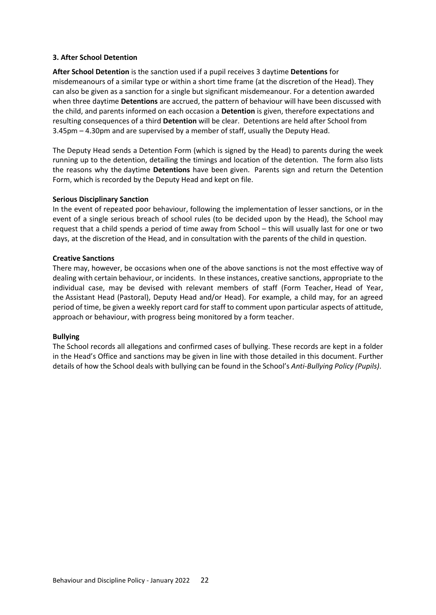# **3. After School Detention**

**After School Detention** is the sanction used if a pupil receives 3 daytime **Detentions** for misdemeanours of a similar type or within a short time frame (at the discretion of the Head). They can also be given as a sanction for a single but significant misdemeanour. For a detention awarded when three daytime **Detentions** are accrued, the pattern of behaviour will have been discussed with the child, and parents informed on each occasion a **Detention** is given, therefore expectations and resulting consequences of a third **Detention** will be clear. Detentions are held after School from 3.45pm – 4.30pm and are supervised by a member of staff, usually the Deputy Head.

The Deputy Head sends a Detention Form (which is signed by the Head) to parents during the week running up to the detention, detailing the timings and location of the detention. The form also lists the reasons why the daytime **Detentions** have been given. Parents sign and return the Detention Form, which is recorded by the Deputy Head and kept on file.

# **Serious Disciplinary Sanction**

In the event of repeated poor behaviour, following the implementation of lesser sanctions, or in the event of a single serious breach of school rules (to be decided upon by the Head), the School may request that a child spends a period of time away from School – this will usually last for one or two days, at the discretion of the Head, and in consultation with the parents of the child in question.

# **Creative Sanctions**

There may, however, be occasions when one of the above sanctions is not the most effective way of dealing with certain behaviour, or incidents. In these instances, creative sanctions, appropriate to the individual case, may be devised with relevant members of staff (Form Teacher, Head of Year, the Assistant Head (Pastoral), Deputy Head and/or Head). For example, a child may, for an agreed period of time, be given a weekly report card for staff to comment upon particular aspects of attitude, approach or behaviour, with progress being monitored by a form teacher.

# **Bullying**

The School records all allegations and confirmed cases of bullying. These records are kept in a folder in the Head's Office and sanctions may be given in line with those detailed in this document. Further details of how the School deals with bullying can be found in the School's *Anti-Bullying Policy (Pupils)*.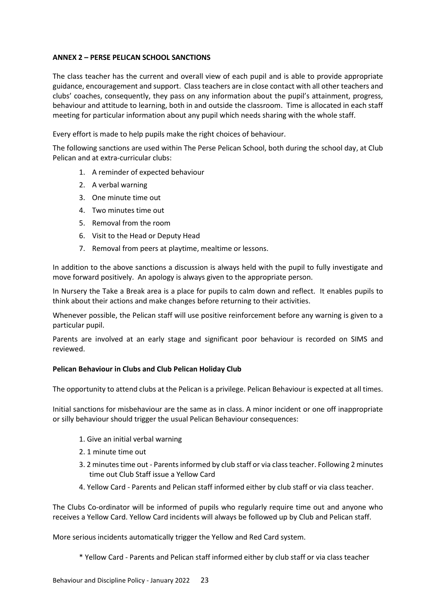# <span id="page-24-0"></span>**ANNEX 2 – PERSE PELICAN SCHOOL SANCTIONS**

The class teacher has the current and overall view of each pupil and is able to provide appropriate guidance, encouragement and support. Class teachers are in close contact with all other teachers and clubs' coaches, consequently, they pass on any information about the pupil's attainment, progress, behaviour and attitude to learning, both in and outside the classroom. Time is allocated in each staff meeting for particular information about any pupil which needs sharing with the whole staff.

Every effort is made to help pupils make the right choices of behaviour.

The following sanctions are used within The Perse Pelican School, both during the school day, at Club Pelican and at extra-curricular clubs:

- 1. A reminder of expected behaviour
- 2. A verbal warning
- 3. One minute time out
- 4. Two minutes time out
- 5. Removal from the room
- 6. Visit to the Head or Deputy Head
- 7. Removal from peers at playtime, mealtime or lessons.

In addition to the above sanctions a discussion is always held with the pupil to fully investigate and move forward positively. An apology is always given to the appropriate person.

In Nursery the Take a Break area is a place for pupils to calm down and reflect. It enables pupils to think about their actions and make changes before returning to their activities.

Whenever possible, the Pelican staff will use positive reinforcement before any warning is given to a particular pupil.

Parents are involved at an early stage and significant poor behaviour is recorded on SIMS and reviewed.

# **Pelican Behaviour in Clubs and Club Pelican Holiday Club**

The opportunity to attend clubs at the Pelican is a privilege. Pelican Behaviour is expected at all times.

Initial sanctions for misbehaviour are the same as in class. A minor incident or one off inappropriate or silly behaviour should trigger the usual Pelican Behaviour consequences:

- 1. Give an initial verbal warning
- 2. 1 minute time out
- 3. 2 minutes time out Parents informed by club staff or via class teacher. Following 2 minutes time out Club Staff issue a Yellow Card
- 4. Yellow Card Parents and Pelican staff informed either by club staff or via class teacher.

The Clubs Co-ordinator will be informed of pupils who regularly require time out and anyone who receives a Yellow Card. Yellow Card incidents will always be followed up by Club and Pelican staff.

More serious incidents automatically trigger the Yellow and Red Card system.

\* Yellow Card - Parents and Pelican staff informed either by club staff or via class teacher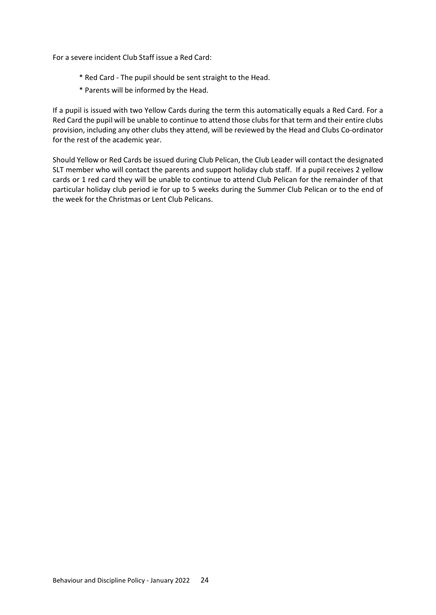For a severe incident Club Staff issue a Red Card:

- \* Red Card The pupil should be sent straight to the Head.
- \* Parents will be informed by the Head.

If a pupil is issued with two Yellow Cards during the term this automatically equals a Red Card. For a Red Card the pupil will be unable to continue to attend those clubs for that term and their entire clubs provision, including any other clubs they attend, will be reviewed by the Head and Clubs Co-ordinator for the rest of the academic year.

Should Yellow or Red Cards be issued during Club Pelican, the Club Leader will contact the designated SLT member who will contact the parents and support holiday club staff. If a pupil receives 2 yellow cards or 1 red card they will be unable to continue to attend Club Pelican for the remainder of that particular holiday club period ie for up to 5 weeks during the Summer Club Pelican or to the end of the week for the Christmas or Lent Club Pelicans.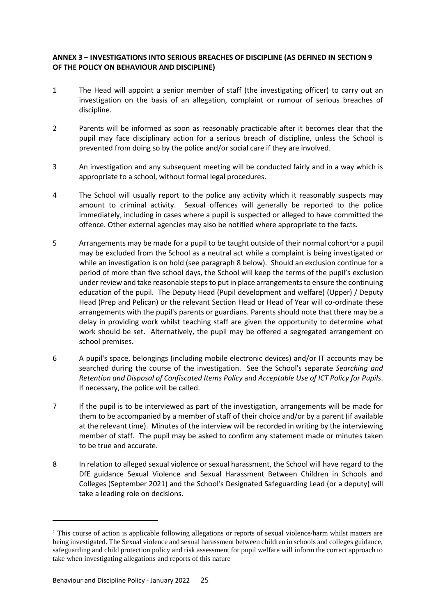# <span id="page-26-0"></span>**ANNEX 3 – INVESTIGATIONS INTO SERIOUS BREACHES OF DISCIPLINE (AS DEFINED IN SECTION 9 OF THE POLICY ON BEHAVIOUR AND DISCIPLINE)**

- 1 The Head will appoint a senior member of staff (the investigating officer) to carry out an investigation on the basis of an allegation, complaint or rumour of serious breaches of discipline.
- 2 Parents will be informed as soon as reasonably practicable after it becomes clear that the pupil may face disciplinary action for a serious breach of discipline, unless the School is prevented from doing so by the police and/or social care if they are involved.
- 3 An investigation and any subsequent meeting will be conducted fairly and in a way which is appropriate to a school, without formal legal procedures.
- 4 The School will usually report to the police any activity which it reasonably suspects may amount to criminal activity. Sexual offences will generally be reported to the police immediately, including in cases where a pupil is suspected or alleged to have committed the offence. Other external agencies may also be notified where appropriate to the facts.
- 5 Arrangements may be made for a pupil to be taught outside of their normal cohort<sup>1</sup>or a pupil may be excluded from the School as a neutral act while a complaint is being investigated or while an investigation is on hold (see paragraph [8](#page-26-1) below). Should an exclusion continue for a period of more than five school days, the School will keep the terms of the pupil's exclusion under review and take reasonable steps to put in place arrangements to ensure the continuing education of the pupil. The Deputy Head (Pupil development and welfare) (Upper) / Deputy Head (Prep and Pelican) or the relevant Section Head or Head of Year will co-ordinate these arrangements with the pupil's parents or guardians. Parents should note that there may be a delay in providing work whilst teaching staff are given the opportunity to determine what work should be set. Alternatively, the pupil may be offered a segregated arrangement on school premises.
- 6 A pupil's space, belongings (including mobile electronic devices) and/or IT accounts may be searched during the course of the investigation. See the School's separate *Searching and Retention and Disposal of Confiscated Items Policy* and *Acceptable Use of ICT Policy for Pupils*. If necessary, the police will be called.
- 7 If the pupil is to be interviewed as part of the investigation, arrangements will be made for them to be accompanied by a member of staff of their choice and/or by a parent (if available at the relevant time). Minutes of the interview will be recorded in writing by the interviewing member of staff. The pupil may be asked to confirm any statement made or minutes taken to be true and accurate.
- <span id="page-26-1"></span>8 In relation to alleged sexual violence or sexual harassment, the School will have regard to the DfE guidance Sexual Violence and Sexual Harassment Between Children in Schools and Colleges (September 2021) and the School's Designated Safeguarding Lead (or a deputy) will take a leading role on decisions.

1

 $1$ . This course of action is applicable following allegations or reports of sexual violence/harm whilst matters are being investigated. The Sexual violence and sexual harassment between children in schools and colleges guidance, safeguarding and child protection policy and risk assessment for pupil welfare will inform the correct approach to take when investigating allegations and reports of this nature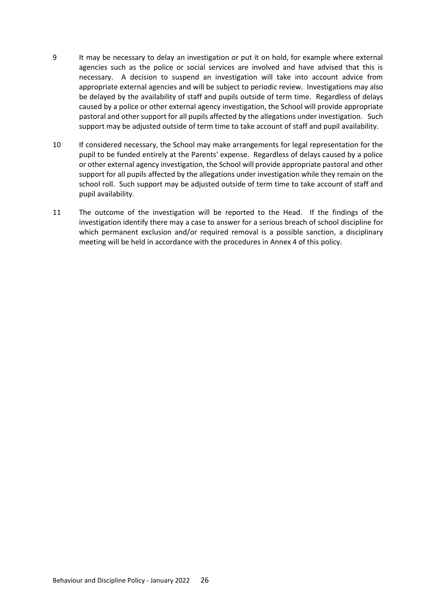- 9 It may be necessary to delay an investigation or put it on hold, for example where external agencies such as the police or social services are involved and have advised that this is necessary. A decision to suspend an investigation will take into account advice from appropriate external agencies and will be subject to periodic review. Investigations may also be delayed by the availability of staff and pupils outside of term time. Regardless of delays caused by a police or other external agency investigation, the School will provide appropriate pastoral and other support for all pupils affected by the allegations under investigation. Such support may be adjusted outside of term time to take account of staff and pupil availability.
- 10 If considered necessary, the School may make arrangements for legal representation for the pupil to be funded entirely at the Parents' expense. Regardless of delays caused by a police or other external agency investigation, the School will provide appropriate pastoral and other support for all pupils affected by the allegations under investigation while they remain on the school roll. Such support may be adjusted outside of term time to take account of staff and pupil availability.
- 11 The outcome of the investigation will be reported to the Head. If the findings of the investigation identify there may a case to answer for a serious breach of school discipline for which permanent exclusion and/or required removal is a possible sanction, a disciplinary meeting will be held in accordance with the procedures in Annex 4 of this policy.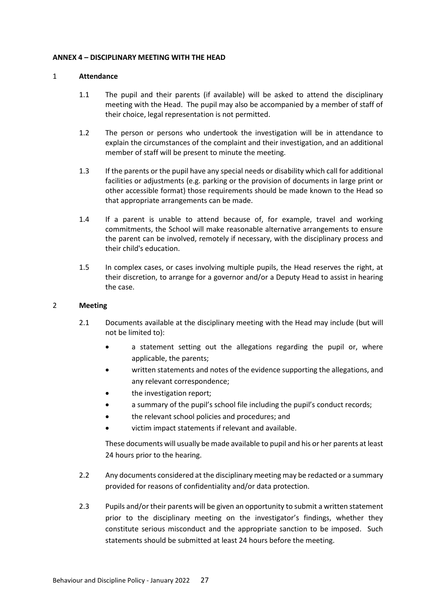#### <span id="page-28-0"></span>**ANNEX 4 – DISCIPLINARY MEETING WITH THE HEAD**

#### 1 **Attendance**

- 1.1 The pupil and their parents (if available) will be asked to attend the disciplinary meeting with the Head. The pupil may also be accompanied by a member of staff of their choice, legal representation is not permitted.
- 1.2 The person or persons who undertook the investigation will be in attendance to explain the circumstances of the complaint and their investigation, and an additional member of staff will be present to minute the meeting.
- 1.3 If the parents or the pupil have any special needs or disability which call for additional facilities or adjustments (e.g. parking or the provision of documents in large print or other accessible format) those requirements should be made known to the Head so that appropriate arrangements can be made.
- 1.4 If a parent is unable to attend because of, for example, travel and working commitments, the School will make reasonable alternative arrangements to ensure the parent can be involved, remotely if necessary, with the disciplinary process and their child's education.
- 1.5 In complex cases, or cases involving multiple pupils, the Head reserves the right, at their discretion, to arrange for a governor and/or a Deputy Head to assist in hearing the case.

#### 2 **Meeting**

- 2.1 Documents available at the disciplinary meeting with the Head may include (but will not be limited to):
	- a statement setting out the allegations regarding the pupil or, where applicable, the parents;
	- written statements and notes of the evidence supporting the allegations, and any relevant correspondence;
	- the investigation report;
	- a summary of the pupil's school file including the pupil's conduct records;
	- the relevant school policies and procedures; and
	- victim impact statements if relevant and available.

These documents will usually be made available to pupil and his or her parents at least 24 hours prior to the hearing.

- 2.2 Any documents considered at the disciplinary meeting may be redacted or a summary provided for reasons of confidentiality and/or data protection.
- 2.3 Pupils and/or their parents will be given an opportunity to submit a written statement prior to the disciplinary meeting on the investigator's findings, whether they constitute serious misconduct and the appropriate sanction to be imposed. Such statements should be submitted at least 24 hours before the meeting.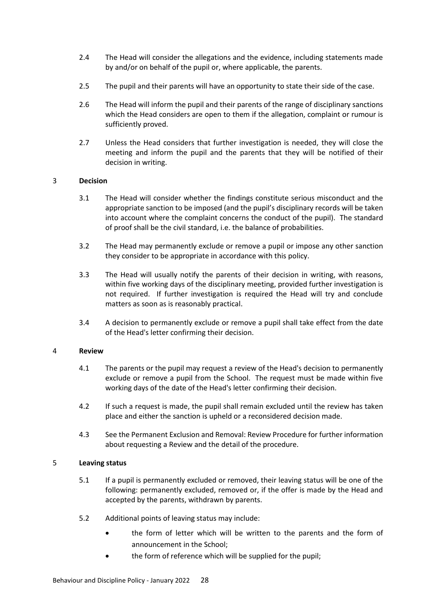- 2.4 The Head will consider the allegations and the evidence, including statements made by and/or on behalf of the pupil or, where applicable, the parents.
- 2.5 The pupil and their parents will have an opportunity to state their side of the case.
- 2.6 The Head will inform the pupil and their parents of the range of disciplinary sanctions which the Head considers are open to them if the allegation, complaint or rumour is sufficiently proved.
- 2.7 Unless the Head considers that further investigation is needed, they will close the meeting and inform the pupil and the parents that they will be notified of their decision in writing.

# 3 **Decision**

- 3.1 The Head will consider whether the findings constitute serious misconduct and the appropriate sanction to be imposed (and the pupil's disciplinary records will be taken into account where the complaint concerns the conduct of the pupil). The standard of proof shall be the civil standard, i.e. the balance of probabilities.
- 3.2 The Head may permanently exclude or remove a pupil or impose any other sanction they consider to be appropriate in accordance with this policy.
- 3.3 The Head will usually notify the parents of their decision in writing, with reasons, within five working days of the disciplinary meeting, provided further investigation is not required. If further investigation is required the Head will try and conclude matters as soon as is reasonably practical.
- 3.4 A decision to permanently exclude or remove a pupil shall take effect from the date of the Head's letter confirming their decision.

# 4 **Review**

- 4.1 The parents or the pupil may request a review of the Head's decision to permanently exclude or remove a pupil from the School. The request must be made within five working days of the date of the Head's letter confirming their decision.
- 4.2 If such a request is made, the pupil shall remain excluded until the review has taken place and either the sanction is upheld or a reconsidered decision made.
- 4.3 See the Permanent Exclusion and Removal: Review Procedure for further information about requesting a Review and the detail of the procedure.

# 5 **Leaving status**

- 5.1 If a pupil is permanently excluded or removed, their leaving status will be one of the following: permanently excluded, removed or, if the offer is made by the Head and accepted by the parents, withdrawn by parents.
- 5.2 Additional points of leaving status may include:
	- the form of letter which will be written to the parents and the form of announcement in the School;
	- the form of reference which will be supplied for the pupil;